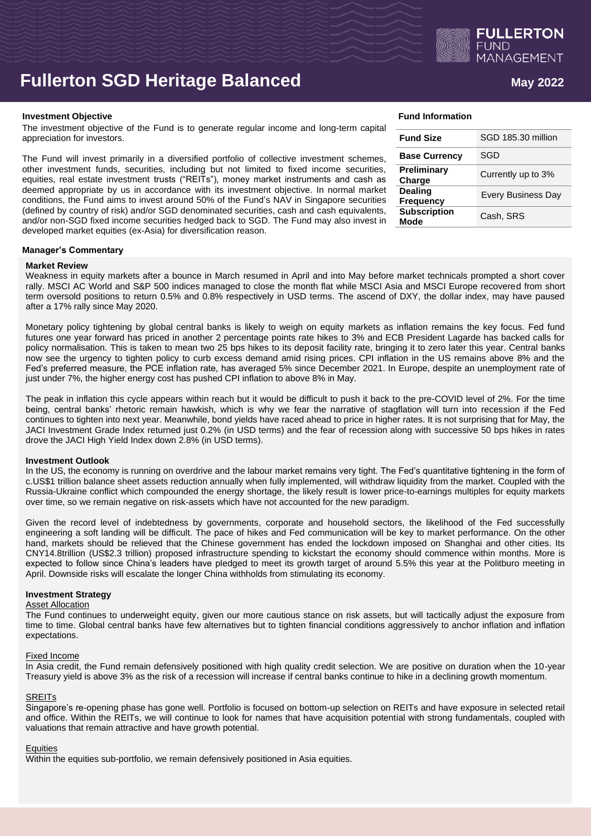

# **Fullerton SGD Heritage Balanced <b>Allerton SGD** May 2022

#### **Investment Objective Fund Information**

The investment objective of the Fund is to generate regular income and long-term capital appreciation for investors.

The Fund will invest primarily in a diversified portfolio of collective investment schemes, other investment funds, securities, including but not limited to fixed income securities, equities, real estate investment trusts ("REITs"), money market instruments and cash as deemed appropriate by us in accordance with its investment objective. In normal market conditions, the Fund aims to invest around 50% of the Fund's NAV in Singapore securities (defined by country of risk) and/or SGD denominated securities, cash and cash equivalents, and/or non-SGD fixed income securities hedged back to SGD. The Fund may also invest in developed market equities (ex-Asia) for diversification reason.

| <b>Fund Size</b>                   | SGD 185.30 million        |
|------------------------------------|---------------------------|
| <b>Base Currency</b>               | SGD                       |
| Preliminary<br>Charge              | Currently up to 3%        |
| <b>Dealing</b><br><b>Frequency</b> | <b>Every Business Day</b> |
| <b>Subscription</b><br>Mode        | Cash, SRS                 |

### **Manager's Commentary**

# **Market Review**

Weakness in equity markets after a bounce in March resumed in April and into May before market technicals prompted a short cover rally. MSCI AC World and S&P 500 indices managed to close the month flat while MSCI Asia and MSCI Europe recovered from short term oversold positions to return 0.5% and 0.8% respectively in USD terms. The ascend of DXY, the dollar index, may have paused after a 17% rally since May 2020.

Monetary policy tightening by global central banks is likely to weigh on equity markets as inflation remains the key focus. Fed fund futures one year forward has priced in another 2 percentage points rate hikes to 3% and ECB President Lagarde has backed calls for policy normalisation. This is taken to mean two 25 bps hikes to its deposit facility rate, bringing it to zero later this year. Central banks now see the urgency to tighten policy to curb excess demand amid rising prices. CPI inflation in the US remains above 8% and the Fed's preferred measure, the PCE inflation rate, has averaged 5% since December 2021. In Europe, despite an unemployment rate of just under 7%, the higher energy cost has pushed CPI inflation to above 8% in May.

The peak in inflation this cycle appears within reach but it would be difficult to push it back to the pre-COVID level of 2%. For the time being, central banks' rhetoric remain hawkish, which is why we fear the narrative of stagflation will turn into recession if the Fed continues to tighten into next year. Meanwhile, bond yields have raced ahead to price in higher rates. It is not surprising that for May, the JACI Investment Grade Index returned just 0.2% (in USD terms) and the fear of recession along with successive 50 bps hikes in rates drove the JACI High Yield Index down 2.8% (in USD terms).

## **Investment Outlook**

In the US, the economy is running on overdrive and the labour market remains very tight. The Fed's quantitative tightening in the form of c.US\$1 trillion balance sheet assets reduction annually when fully implemented, will withdraw liquidity from the market. Coupled with the Russia-Ukraine conflict which compounded the energy shortage, the likely result is lower price-to-earnings multiples for equity markets over time, so we remain negative on risk-assets which have not accounted for the new paradigm.

Given the record level of indebtedness by governments, corporate and household sectors, the likelihood of the Fed successfully engineering a soft landing will be difficult. The pace of hikes and Fed communication will be key to market performance. On the other hand, markets should be relieved that the Chinese government has ended the lockdown imposed on Shanghai and other cities. Its CNY14.8trillion (US\$2.3 trillion) proposed infrastructure spending to kickstart the economy should commence within months. More is expected to follow since China's leaders have pledged to meet its growth target of around 5.5% this year at the Politburo meeting in April. Downside risks will escalate the longer China withholds from stimulating its economy.

## **Investment Strategy**

#### Asset Allocation

The Fund continues to underweight equity, given our more cautious stance on risk assets, but will tactically adjust the exposure from time to time. Global central banks have few alternatives but to tighten financial conditions aggressively to anchor inflation and inflation expectations.

## Fixed Income

In Asia credit, the Fund remain defensively positioned with high quality credit selection. We are positive on duration when the 10-year Treasury yield is above 3% as the risk of a recession will increase if central banks continue to hike in a declining growth momentum.

# **SREITs**

Singapore's re-opening phase has gone well. Portfolio is focused on bottom-up selection on REITs and have exposure in selected retail and office. Within the REITs, we will continue to look for names that have acquisition potential with strong fundamentals, coupled with valuations that remain attractive and have growth potential.

## **Equities**

Within the equities sub-portfolio, we remain defensively positioned in Asia equities.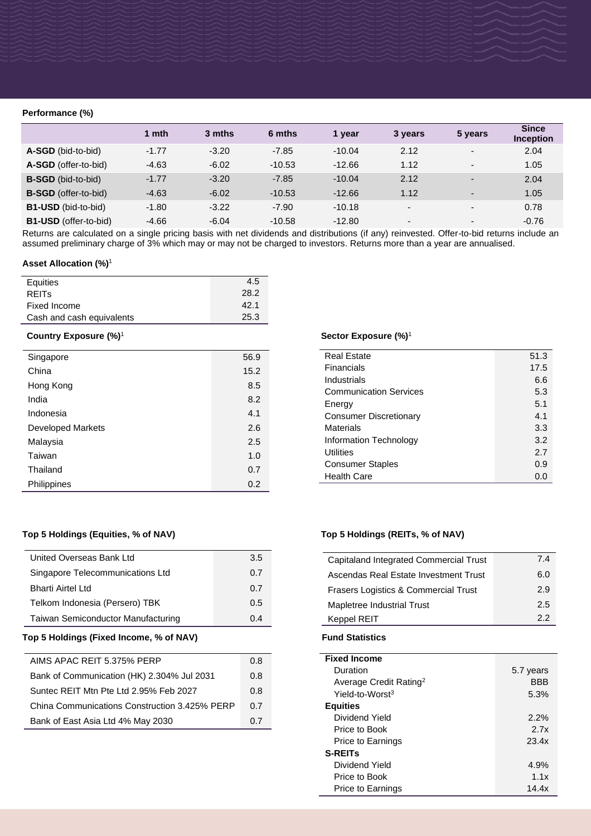# **Performance (%)**

|                              | 1 mth   | 3 mths  | 6 mths   | 1 year   | 3 years                  | 5 years                  | <b>Since</b><br><b>Inception</b> |
|------------------------------|---------|---------|----------|----------|--------------------------|--------------------------|----------------------------------|
| A-SGD (bid-to-bid)           | $-1.77$ | $-3.20$ | $-7.85$  | $-10.04$ | 2.12                     | $\overline{\phantom{a}}$ | 2.04                             |
| A-SGD (offer-to-bid)         | $-4.63$ | $-6.02$ | $-10.53$ | $-12.66$ | 1.12                     | $\blacksquare$           | 1.05                             |
| <b>B-SGD</b> (bid-to-bid)    | $-1.77$ | $-3.20$ | $-7.85$  | $-10.04$ | 2.12                     | $\overline{\phantom{0}}$ | 2.04                             |
| B-SGD (offer-to-bid)         | $-4.63$ | $-6.02$ | $-10.53$ | $-12.66$ | 1.12                     | $\overline{\phantom{0}}$ | 1.05                             |
| <b>B1-USD</b> (bid-to-bid)   | $-1.80$ | $-3.22$ | $-7.90$  | $-10.18$ | $\overline{\phantom{0}}$ | $\overline{\phantom{0}}$ | 0.78                             |
| <b>B1-USD</b> (offer-to-bid) | $-4.66$ | $-6.04$ | $-10.58$ | $-12.80$ | $\overline{\phantom{0}}$ | $\overline{\phantom{0}}$ | $-0.76$                          |

Returns are calculated on a single pricing basis with net dividends and distributions (if any) reinvested. Offer-to-bid returns include an assumed preliminary charge of 3% which may or may not be charged to investors. Returns more than a year are annualised.

# **Asset Allocation (%)**<sup>1</sup>

| Equities                  | 4.5  |
|---------------------------|------|
| <b>REITS</b>              | 28.2 |
| Fixed Income              | 42.1 |
| Cash and cash equivalents | 25.3 |

# **Country Exposure (%)**<sup>1</sup>

| Singapore                | 56.9 |
|--------------------------|------|
| China                    | 15.2 |
| Hong Kong                | 8.5  |
| India                    | 8.2  |
| Indonesia                | 4.1  |
| <b>Developed Markets</b> | 2.6  |
| Malaysia                 | 2.5  |
| Taiwan                   | 1.0  |
| Thailand                 | 0.7  |
| Philippines              | 0.2  |

# **Top 5 Holdings (Equities, % of NAV) Top 5 Holdings (REITs, % of NAV)**

| United Overseas Bank Ltd                  | 3.5 |
|-------------------------------------------|-----|
| Singapore Telecommunications Ltd          | 0.7 |
| <b>Bharti Airtel Ltd</b>                  | 0.7 |
| Telkom Indonesia (Persero) TBK            | 0.5 |
| <b>Taiwan Semiconductor Manufacturing</b> | በ 4 |

# **Top 5 Holdings (Fixed Income, % of NAV) Fund Statistics**

| AIMS APAC REIT 5.375% PERP                    | 0.8 |
|-----------------------------------------------|-----|
| Bank of Communication (HK) 2.304% Jul 2031    | 0.8 |
| Suntec REIT Mtn Pte Ltd 2.95% Feb 2027        | 0.8 |
| China Communications Construction 3.425% PERP | 0 Z |
| Bank of East Asia Ltd 4% May 2030             | 0.7 |

# **Sector Exposure (%)**<sup>1</sup>

| <b>Real Estate</b>            | 51.3  |
|-------------------------------|-------|
| Financials                    | 17.5  |
| Industrials                   | 6.6   |
| <b>Communication Services</b> | 5.3   |
| Energy                        | 5.1   |
| <b>Consumer Discretionary</b> | 4.1   |
| Materials                     | 3.3   |
| Information Technology        | 3.2   |
| Utilities                     | 2.7   |
| <b>Consumer Staples</b>       | 0.9   |
| <b>Health Care</b>            | (1.0) |

| Capitaland Integrated Commercial Trust          | 74  |
|-------------------------------------------------|-----|
| Ascendas Real Estate Investment Trust           | 6.0 |
| <b>Frasers Logistics &amp; Commercial Trust</b> | 2.9 |
| Mapletree Industrial Trust                      | 2.5 |
| <b>Keppel REIT</b>                              | 22  |

| <b>Fixed Income</b>                |           |
|------------------------------------|-----------|
| Duration                           | 5.7 years |
| Average Credit Rating <sup>2</sup> | BBB       |
| Yield-to-Worst <sup>3</sup>        | 5.3%      |
| <b>Equities</b>                    |           |
| Dividend Yield                     | 2.2%      |
| Price to Book                      | 2.7x      |
| Price to Earnings                  | 23.4x     |
| <b>S-REITs</b>                     |           |
| Dividend Yield                     | 4.9%      |
| Price to Book                      | 1.1x      |
| Price to Earnings                  | 14.4x     |